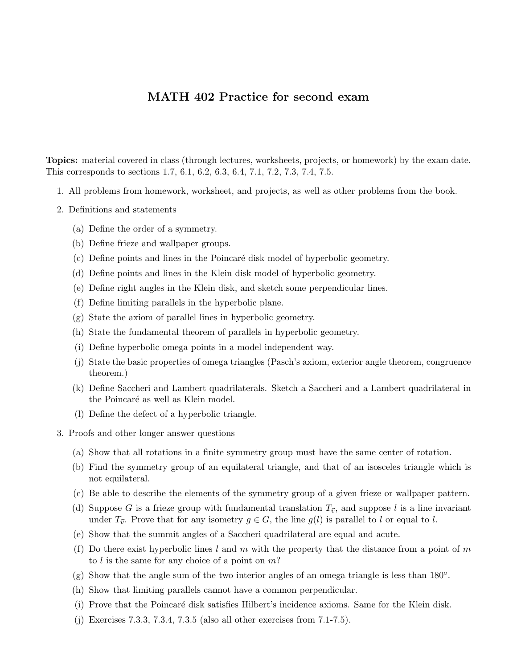## MATH 402 Practice for second exam

Topics: material covered in class (through lectures, worksheets, projects, or homework) by the exam date. This corresponds to sections 1.7, 6.1, 6.2, 6.3, 6.4, 7.1, 7.2, 7.3, 7.4, 7.5.

- 1. All problems from homework, worksheet, and projects, as well as other problems from the book.
- 2. Definitions and statements
	- (a) Define the order of a symmetry.
	- (b) Define frieze and wallpaper groups.
	- (c) Define points and lines in the Poincar´e disk model of hyperbolic geometry.
	- (d) Define points and lines in the Klein disk model of hyperbolic geometry.
	- (e) Define right angles in the Klein disk, and sketch some perpendicular lines.
	- (f) Define limiting parallels in the hyperbolic plane.
	- (g) State the axiom of parallel lines in hyperbolic geometry.
	- (h) State the fundamental theorem of parallels in hyperbolic geometry.
	- (i) Define hyperbolic omega points in a model independent way.
	- (j) State the basic properties of omega triangles (Pasch's axiom, exterior angle theorem, congruence theorem.)
	- (k) Define Saccheri and Lambert quadrilaterals. Sketch a Saccheri and a Lambert quadrilateral in the Poincaré as well as Klein model.
	- (l) Define the defect of a hyperbolic triangle.
- 3. Proofs and other longer answer questions
	- (a) Show that all rotations in a finite symmetry group must have the same center of rotation.
	- (b) Find the symmetry group of an equilateral triangle, and that of an isosceles triangle which is not equilateral.
	- (c) Be able to describe the elements of the symmetry group of a given frieze or wallpaper pattern.
	- (d) Suppose G is a frieze group with fundamental translation  $T_{\vec{v}}$ , and suppose l is a line invariant under  $T_{\vec{v}}$ . Prove that for any isometry  $g \in G$ , the line  $g(l)$  is parallel to l or equal to l.
	- (e) Show that the summit angles of a Saccheri quadrilateral are equal and acute.
	- (f) Do there exist hyperbolic lines l and m with the property that the distance from a point of m to  $l$  is the same for any choice of a point on  $m$ ?
	- (g) Show that the angle sum of the two interior angles of an omega triangle is less than 180◦ .
	- (h) Show that limiting parallels cannot have a common perpendicular.
	- (i) Prove that the Poincar´e disk satisfies Hilbert's incidence axioms. Same for the Klein disk.
	- (j) Exercises 7.3.3, 7.3.4, 7.3.5 (also all other exercises from 7.1-7.5).